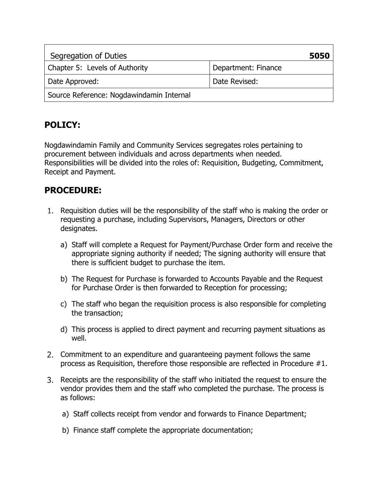| Segregation of Duties                    | 5050                |
|------------------------------------------|---------------------|
| Chapter 5: Levels of Authority           | Department: Finance |
| Date Approved:                           | Date Revised:       |
| Source Reference: Nogdawindamin Internal |                     |

## **POLICY:**

Nogdawindamin Family and Community Services segregates roles pertaining to procurement between individuals and across departments when needed. Responsibilities will be divided into the roles of: Requisition, Budgeting, Commitment, Receipt and Payment.

## **PROCEDURE:**

- 1. Requisition duties will be the responsibility of the staff who is making the order or requesting a purchase, including Supervisors, Managers, Directors or other designates.
	- a) Staff will complete a Request for Payment/Purchase Order form and receive the appropriate signing authority if needed; The signing authority will ensure that there is sufficient budget to purchase the item.
	- b) The Request for Purchase is forwarded to Accounts Payable and the Request for Purchase Order is then forwarded to Reception for processing;
	- c) The staff who began the requisition process is also responsible for completing the transaction;
	- d) This process is applied to direct payment and recurring payment situations as well.
- 2. Commitment to an expenditure and guaranteeing payment follows the same process as Requisition, therefore those responsible are reflected in Procedure #1.
- Receipts are the responsibility of the staff who initiated the request to ensure the vendor provides them and the staff who completed the purchase. The process is as follows:
	- a) Staff collects receipt from vendor and forwards to Finance Department;
	- b) Finance staff complete the appropriate documentation;